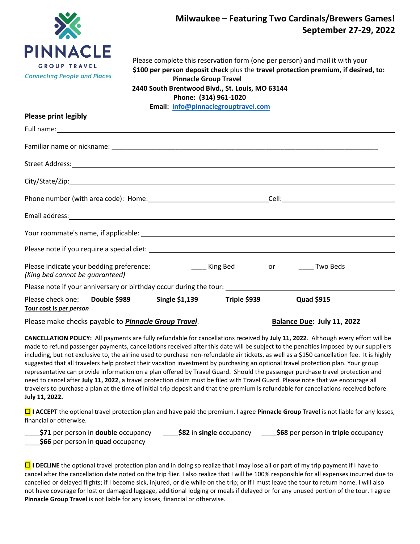

## **Milwaukee – Featuring Two Cardinals/Brewers Games! September 27-29, 2022**

 Please complete this reservation form (one per person) and mail it with your **\$100 per person deposit check** plus the **travel protection premium, if desired, to: Pinnacle Group Travel 2440 South Brentwood Blvd., St. Louis, MO 63144**

**Phone: (314) 961-1020**

**Email: [info@pinnaclegrouptravel.com](mailto:info@pinnaclegrouptravel.com)**

## **Please print legibly**

| Full name: and the same state of the same state of the same state of the same state of the same state of the same state of the same state of the same state of the same state of the same state of the same state of the same       |  |
|-------------------------------------------------------------------------------------------------------------------------------------------------------------------------------------------------------------------------------------|--|
|                                                                                                                                                                                                                                     |  |
| Street Address: <u>Communications</u> of the Communication of the Communications of the Communications of the Communications of the Communications of the Communications of the Communications of the Communications of the Communi |  |
|                                                                                                                                                                                                                                     |  |
|                                                                                                                                                                                                                                     |  |
| Email address: 1988 and 2008 and 2008 and 2008 and 2008 and 2008 and 2008 and 2008 and 2008 and 2008 and 2008                                                                                                                       |  |
|                                                                                                                                                                                                                                     |  |
|                                                                                                                                                                                                                                     |  |
| Please indicate your bedding preference: The Manus Controller Ming Bed Senson Controller Two Beds<br>(King bed cannot be guaranteed)                                                                                                |  |
| Please note if your anniversary or birthday occur during the tour: _________________________________                                                                                                                                |  |
| Please check one: Double \$989 Single \$1,139 Triple \$939 Quad \$915<br>Tour cost is per person                                                                                                                                    |  |

Please make checks payable to *Pinnacle Group Travel*. **Balance Due: July 11, 2022**

**CANCELLATION POLICY:** All payments are fully refundable for cancellations received by **July 11, 2022**. Although every effort will be made to refund passenger payments, cancellations received after this date will be subject to the penalties imposed by our suppliers including, but not exclusive to, the airline used to purchase non-refundable air tickets, as well as a \$150 cancellation fee. It is highly suggested that all travelers help protect their vacation investment by purchasing an optional travel protection plan. Your group representative can provide information on a plan offered by Travel Guard. Should the passenger purchase travel protection and need to cancel after **July 11, 2022**, a travel protection claim must be filed with Travel Guard. Please note that we encourage all travelers to purchase a plan at the time of initial trip deposit and that the premium is refundable for cancellations received before **July 11, 2022.**

 **I ACCEPT** the optional travel protection plan and have paid the premium. I agree **Pinnacle Group Travel** is not liable for any losses, financial or otherwise.

| _____\$71 per person in double occupancy        | \$82 in single occupancy | <b>S68</b> per person in triple occupancy |
|-------------------------------------------------|--------------------------|-------------------------------------------|
| $ABC$ and an annual to prove the second and $A$ |                          |                                           |

\_\_\_\_**\$66** per person in **quad** occupancy

**I** DECLINE the optional travel protection plan and in doing so realize that I may lose all or part of my trip payment if I have to cancel after the cancellation date noted on the trip flier. I also realize that I will be 100% responsible for all expenses incurred due to cancelled or delayed flights; if I become sick, injured, or die while on the trip; or if I must leave the tour to return home. I will also not have coverage for lost or damaged luggage, additional lodging or meals if delayed or for any unused portion of the tour. I agree **Pinnacle Group Travel** is not liable for any losses, financial or otherwise.